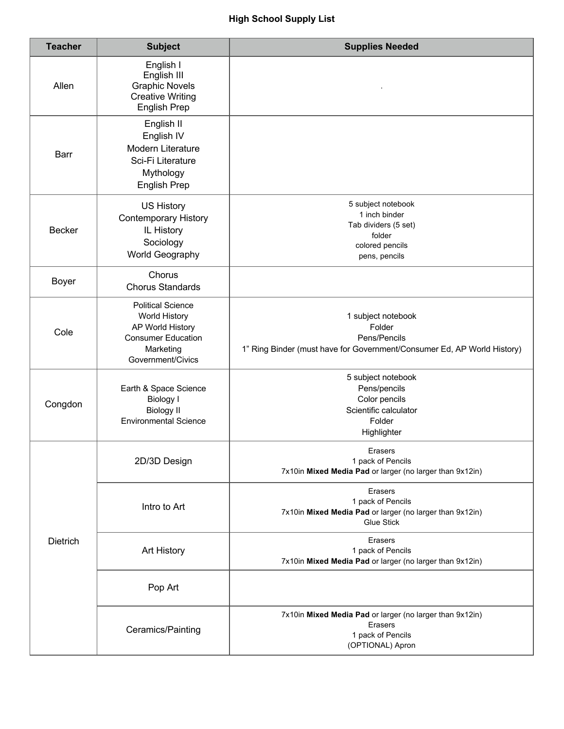## **High School Supply List**

| <b>Teacher</b>  | <b>Subject</b>                                                                                                               | <b>Supplies Needed</b>                                                                                                  |
|-----------------|------------------------------------------------------------------------------------------------------------------------------|-------------------------------------------------------------------------------------------------------------------------|
| Allen           | English I<br>English III<br><b>Graphic Novels</b><br><b>Creative Writing</b><br><b>English Prep</b>                          |                                                                                                                         |
| <b>Barr</b>     | English II<br>English IV<br>Modern Literature<br>Sci-Fi Literature<br>Mythology<br><b>English Prep</b>                       |                                                                                                                         |
| <b>Becker</b>   | <b>US History</b><br><b>Contemporary History</b><br>IL History<br>Sociology<br>World Geography                               | 5 subject notebook<br>1 inch binder<br>Tab dividers (5 set)<br>folder<br>colored pencils<br>pens, pencils               |
| <b>Boyer</b>    | Chorus<br><b>Chorus Standards</b>                                                                                            |                                                                                                                         |
| Cole            | <b>Political Science</b><br>World History<br>AP World History<br><b>Consumer Education</b><br>Marketing<br>Government/Civics | 1 subject notebook<br>Folder<br>Pens/Pencils<br>1" Ring Binder (must have for Government/Consumer Ed, AP World History) |
| Congdon         | Earth & Space Science<br><b>Biology I</b><br><b>Biology II</b><br><b>Environmental Science</b>                               | 5 subject notebook<br>Pens/pencils<br>Color pencils<br>Scientific calculator<br>Folder<br>Highlighter                   |
| <b>Dietrich</b> | 2D/3D Design                                                                                                                 | Erasers<br>1 pack of Pencils<br>7x10in Mixed Media Pad or larger (no larger than 9x12in)                                |
|                 | Intro to Art                                                                                                                 | Erasers<br>1 pack of Pencils<br>7x10in Mixed Media Pad or larger (no larger than 9x12in)<br><b>Glue Stick</b>           |
|                 | Art History                                                                                                                  | Erasers<br>1 pack of Pencils<br>7x10in Mixed Media Pad or larger (no larger than 9x12in)                                |
|                 | Pop Art                                                                                                                      |                                                                                                                         |
|                 | Ceramics/Painting                                                                                                            | 7x10in Mixed Media Pad or larger (no larger than 9x12in)<br>Erasers<br>1 pack of Pencils<br>(OPTIONAL) Apron            |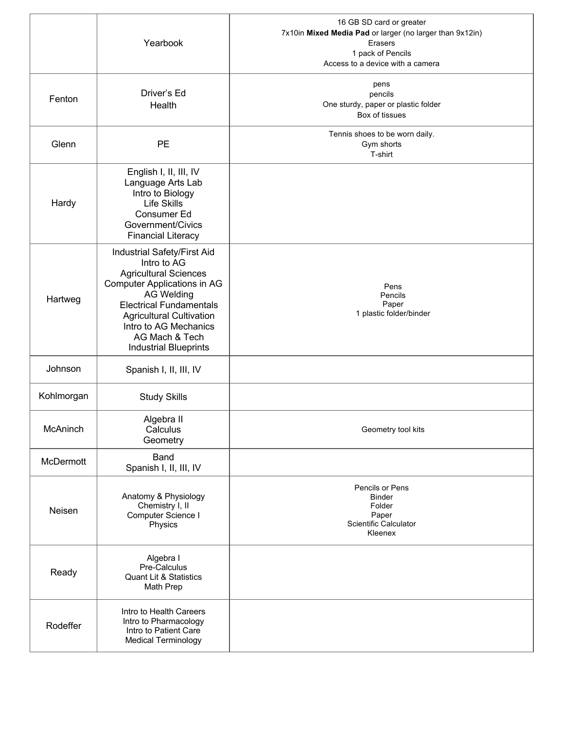|            | Yearbook                                                                                                                                                                                                                                                                              | 16 GB SD card or greater<br>7x10in Mixed Media Pad or larger (no larger than 9x12in)<br>Erasers<br>1 pack of Pencils<br>Access to a device with a camera |
|------------|---------------------------------------------------------------------------------------------------------------------------------------------------------------------------------------------------------------------------------------------------------------------------------------|----------------------------------------------------------------------------------------------------------------------------------------------------------|
| Fenton     | Driver's Ed<br>Health                                                                                                                                                                                                                                                                 | pens<br>pencils<br>One sturdy, paper or plastic folder<br>Box of tissues                                                                                 |
| Glenn      | <b>PE</b>                                                                                                                                                                                                                                                                             | Tennis shoes to be worn daily.<br>Gym shorts<br>T-shirt                                                                                                  |
| Hardy      | English I, II, III, IV<br>Language Arts Lab<br>Intro to Biology<br><b>Life Skills</b><br><b>Consumer Ed</b><br>Government/Civics<br><b>Financial Literacy</b>                                                                                                                         |                                                                                                                                                          |
| Hartweg    | Industrial Safety/First Aid<br>Intro to AG<br><b>Agricultural Sciences</b><br><b>Computer Applications in AG</b><br><b>AG Welding</b><br><b>Electrical Fundamentals</b><br><b>Agricultural Cultivation</b><br>Intro to AG Mechanics<br>AG Mach & Tech<br><b>Industrial Blueprints</b> | Pens<br>Pencils<br>Paper<br>1 plastic folder/binder                                                                                                      |
| Johnson    | Spanish I, II, III, IV                                                                                                                                                                                                                                                                |                                                                                                                                                          |
| Kohlmorgan | <b>Study Skills</b>                                                                                                                                                                                                                                                                   |                                                                                                                                                          |
| McAninch   | Algebra II<br>Calculus<br>Geometry                                                                                                                                                                                                                                                    | Geometry tool kits                                                                                                                                       |
| McDermott  | <b>Band</b><br>Spanish I, II, III, IV                                                                                                                                                                                                                                                 |                                                                                                                                                          |
| Neisen     | Anatomy & Physiology<br>Chemistry I, II<br>Computer Science I<br>Physics                                                                                                                                                                                                              | Pencils or Pens<br><b>Binder</b><br>Folder<br>Paper<br>Scientific Calculator<br>Kleenex                                                                  |
| Ready      | Algebra I<br>Pre-Calculus<br><b>Quant Lit &amp; Statistics</b><br>Math Prep                                                                                                                                                                                                           |                                                                                                                                                          |
| Rodeffer   | Intro to Health Careers<br>Intro to Pharmacology<br>Intro to Patient Care<br><b>Medical Terminology</b>                                                                                                                                                                               |                                                                                                                                                          |